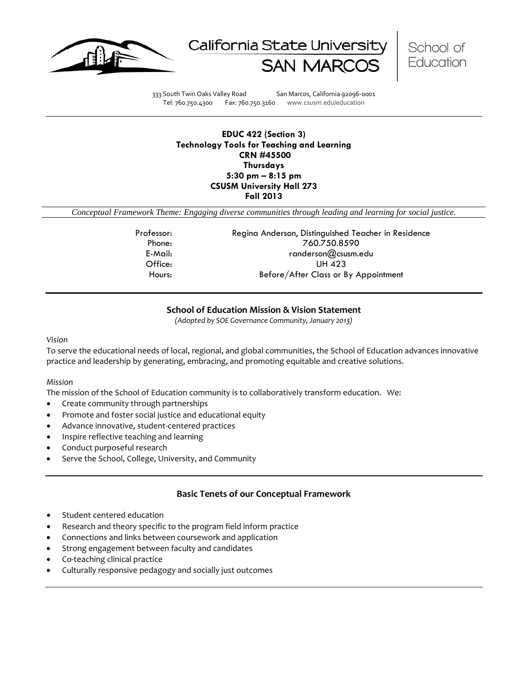





333 South Twin Oaks Valley Road San Marcos, California 92096-0001 Tel: 760.750.4300 Fax: 760.750.3160 www.csusm.edu/education

### **EDUC 422 (Section 3) Technology Tools for Teaching and Learning CRN #45500 Thursdays 5:30 pm – 8:15 pm CSUSM University Hall 273 Fall 2013**

*Conceptual Framework Theme: Engaging diverse communities through leading and learning for social justice.*

Professor: Regina Anderson, Distinguished Teacher in Residence Phone: 760.750.8590 E-Mail: randerson@csusm.edu Office: UH 423 Hours: Before/After Class or By Appointment

### **School of Education Mission & Vision Statement**

*(Adopted by SOE Governance Community, January 2013)*

#### *Vision*

To serve the educational needs of local, regional, and global communities, the School of Education advances innovative practice and leadership by generating, embracing, and promoting equitable and creative solutions.

#### *Mission*

The mission of the School of Education community is to collaboratively transform education. We:

- Create community through partnerships
- Promote and foster social justice and educational equity
- Advance innovative, student-centered practices
- Inspire reflective teaching and learning
- Conduct purposeful research
- Serve the School, College, University, and Community

#### **Basic Tenets of our Conceptual Framework**

- Student centered education
- Research and theory specific to the program field inform practice
- Connections and links between coursework and application
- Strong engagement between faculty and candidates
- Co-teaching clinical practice
- Culturally responsive pedagogy and socially just outcomes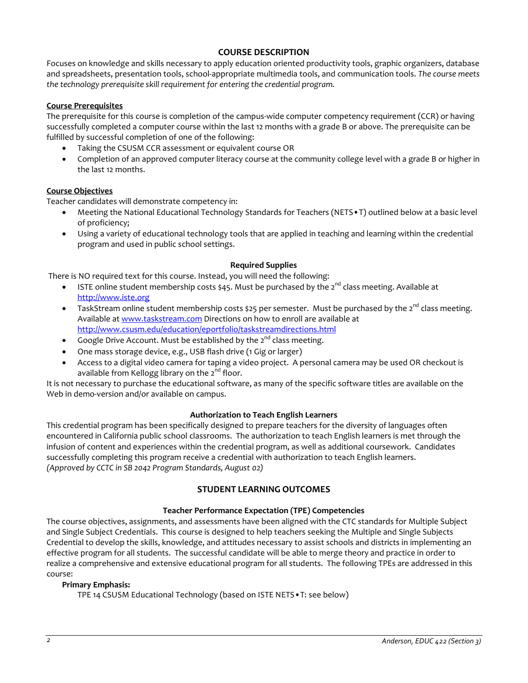### **COURSE DESCRIPTION**

Focuses on knowledge and skills necessary to apply education oriented productivity tools, graphic organizers, database and spreadsheets, presentation tools, school-appropriate multimedia tools, and communication tools. *The course meets the technology prerequisite skill requirement for entering the credential program.*

#### **Course Prerequisites**

The prerequisite for this course is completion of the campus-wide computer competency requirement (CCR) or having successfully completed a computer course within the last 12 months with a grade B or above. The prerequisite can be fulfilled by successful completion of one of the following:

- Taking the CSUSM CCR assessment or equivalent course OR
- Completion of an approved computer literacy course at the community college level with a grade B or higher in the last 12 months.

#### **Course Objectives**

Teacher candidates will demonstrate competency in:

- Meeting the National Educational Technology Standards for Teachers (NETS•T) outlined below at a basic level of proficiency;
- Using a variety of educational technology tools that are applied in teaching and learning within the credential program and used in public school settings.

#### **Required Supplies**

There is NO required text for this course. Instead, you will need the following:

- ISTE online student membership costs \$45. Must be purchased by the  $2^{nd}$  class meeting. Available at [http://www.iste.org](http://www.iste.org/)
- TaskStream online student membership costs \$25 per semester. Must be purchased by the  $2^{nd}$  class meeting. Available at [www.taskstream.com](http://www.taskstream.com/) Directions on how to enroll are available at <http://www.csusm.edu/education/eportfolio/taskstreamdirections.html>
- Google Drive Account. Must be established by the  $2^{nd}$  class meeting.
- One mass storage device, e.g., USB flash drive (1 Gig or larger)
- Access to a digital video camera for taping a video project. A personal camera may be used OR checkout is available from Kellogg library on the  $2^{nd}$  floor.

It is not necessary to purchase the educational software, as many of the specific software titles are available on the Web in demo-version and/or available on campus.

#### **Authorization to Teach English Learners**

This credential program has been specifically designed to prepare teachers for the diversity of languages often encountered in California public school classrooms. The authorization to teach English learners is met through the infusion of content and experiences within the credential program, as well as additional coursework. Candidates successfully completing this program receive a credential with authorization to teach English learners. *(Approved by CCTC in SB 2042 Program Standards, August 02)*

## **STUDENT LEARNING OUTCOMES**

#### **Teacher Performance Expectation (TPE) Competencies**

The course objectives, assignments, and assessments have been aligned with the CTC standards for Multiple Subject and Single Subject Credentials. This course is designed to help teachers seeking the Multiple and Single Subjects Credential to develop the skills, knowledge, and attitudes necessary to assist schools and districts in implementing an effective program for all students. The successful candidate will be able to merge theory and practice in order to realize a comprehensive and extensive educational program for all students. The following TPEs are addressed in this course:

#### **Primary Emphasis:**

TPE 14 CSUSM Educational Technology (based on ISTE NETS•T: see below)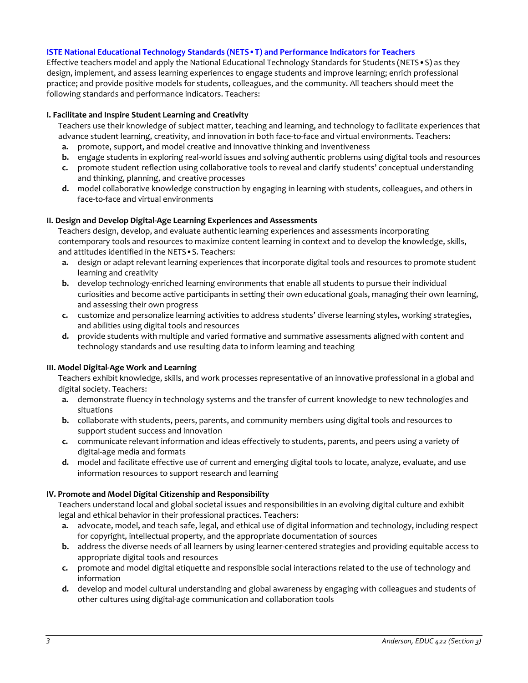#### **ISTE National Educational Technology Standards (NETS•T) and Performance Indicators for Teachers**

Effective teachers model and apply the National Educational Technology Standards for Students (NETS•S) as they design, implement, and assess learning experiences to engage students and improve learning; enrich professional practice; and provide positive models for students, colleagues, and the community. All teachers should meet the following standards and performance indicators. Teachers:

#### **I. Facilitate and Inspire Student Learning and Creativity**

Teachers use their knowledge of subject matter, teaching and learning, and technology to facilitate experiences that advance student learning, creativity, and innovation in both face-to-face and virtual environments. Teachers:

- **a.** promote, support, and model creative and innovative thinking and inventiveness
- **b.** engage students in exploring real-world issues and solving authentic problems using digital tools and resources
- **c.** promote student reflection using collaborative tools to reveal and clarify students' conceptual understanding and thinking, planning, and creative processes
- **d.** model collaborative knowledge construction by engaging in learning with students, colleagues, and others in face-to-face and virtual environments

### **II. Design and Develop Digital-Age Learning Experiences and Assessments**

Teachers design, develop, and evaluate authentic learning experiences and assessments incorporating contemporary tools and resources to maximize content learning in context and to develop the knowledge, skills, and attitudes identified in the NETS•S. Teachers:

- **a.** design or adapt relevant learning experiences that incorporate digital tools and resources to promote student learning and creativity
- **b.** develop technology-enriched learning environments that enable all students to pursue their individual curiosities and become active participants in setting their own educational goals, managing their own learning, and assessing their own progress
- **c.** customize and personalize learning activities to address students' diverse learning styles, working strategies, and abilities using digital tools and resources
- **d.** provide students with multiple and varied formative and summative assessments aligned with content and technology standards and use resulting data to inform learning and teaching

#### **III. Model Digital-Age Work and Learning**

Teachers exhibit knowledge, skills, and work processes representative of an innovative professional in a global and digital society. Teachers:

- **a.** demonstrate fluency in technology systems and the transfer of current knowledge to new technologies and situations
- **b.** collaborate with students, peers, parents, and community members using digital tools and resources to support student success and innovation
- **c.** communicate relevant information and ideas effectively to students, parents, and peers using a variety of digital-age media and formats
- **d.** model and facilitate effective use of current and emerging digital tools to locate, analyze, evaluate, and use information resources to support research and learning

#### **IV. Promote and Model Digital Citizenship and Responsibility**

Teachers understand local and global societal issues and responsibilities in an evolving digital culture and exhibit legal and ethical behavior in their professional practices. Teachers:

- **a.** advocate, model, and teach safe, legal, and ethical use of digital information and technology, including respect for copyright, intellectual property, and the appropriate documentation of sources
- **b.** address the diverse needs of all learners by using learner-centered strategies and providing equitable access to appropriate digital tools and resources
- **c.** promote and model digital etiquette and responsible social interactions related to the use of technology and information
- **d.** develop and model cultural understanding and global awareness by engaging with colleagues and students of other cultures using digital-age communication and collaboration tools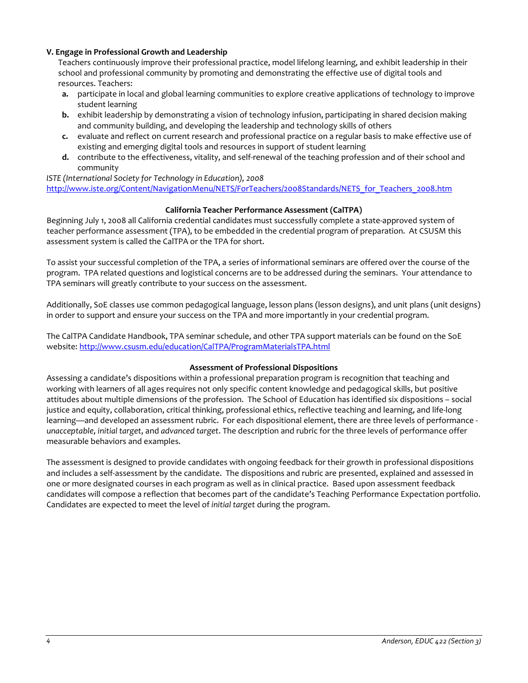### **V. Engage in Professional Growth and Leadership**

Teachers continuously improve their professional practice, model lifelong learning, and exhibit leadership in their school and professional community by promoting and demonstrating the effective use of digital tools and resources. Teachers:

- **a.** participate in local and global learning communities to explore creative applications of technology to improve student learning
- **b.** exhibit leadership by demonstrating a vision of technology infusion, participating in shared decision making and community building, and developing the leadership and technology skills of others
- **c.** evaluate and reflect on current research and professional practice on a regular basis to make effective use of existing and emerging digital tools and resources in support of student learning
- **d.** contribute to the effectiveness, vitality, and self-renewal of the teaching profession and of their school and community

*ISTE (International Society for Technology in Education), 2008* [http://www.iste.org/Content/NavigationMenu/NETS/ForTeachers/2008Standards/NETS\\_for\\_Teachers\\_2008.htm](http://www.iste.org/Content/NavigationMenu/NETS/ForTeachers/2008Standards/NETS_for_Teachers_2008.htm)

### **California Teacher Performance Assessment (CalTPA)**

Beginning July 1, 2008 all California credential candidates must successfully complete a state-approved system of teacher performance assessment (TPA), to be embedded in the credential program of preparation. At CSUSM this assessment system is called the CalTPA or the TPA for short.

To assist your successful completion of the TPA, a series of informational seminars are offered over the course of the program. TPA related questions and logistical concerns are to be addressed during the seminars. Your attendance to TPA seminars will greatly contribute to your success on the assessment.

Additionally, SoE classes use common pedagogical language, lesson plans (lesson designs), and unit plans (unit designs) in order to support and ensure your success on the TPA and more importantly in your credential program.

The CalTPA Candidate Handbook, TPA seminar schedule, and other TPA support materials can be found on the SoE website: <http://www.csusm.edu/education/CalTPA/ProgramMaterialsTPA.html>

#### **Assessment of Professional Dispositions**

Assessing a candidate's dispositions within a professional preparation program is recognition that teaching and working with learners of all ages requires not only specific content knowledge and pedagogical skills, but positive attitudes about multiple dimensions of the profession. The School of Education has identified six dispositions – social justice and equity, collaboration, critical thinking, professional ethics, reflective teaching and learning, and life-long learning—and developed an assessment rubric. For each dispositional element, there are three levels of performance *unacceptable*, *initial target*, and *advanced target*. The description and rubric for the three levels of performance offer measurable behaviors and examples.

The assessment is designed to provide candidates with ongoing feedback for their growth in professional dispositions and includes a self-assessment by the candidate. The dispositions and rubric are presented, explained and assessed in one or more designated courses in each program as well as in clinical practice. Based upon assessment feedback candidates will compose a reflection that becomes part of the candidate's Teaching Performance Expectation portfolio. Candidates are expected to meet the level of *initial target* during the program.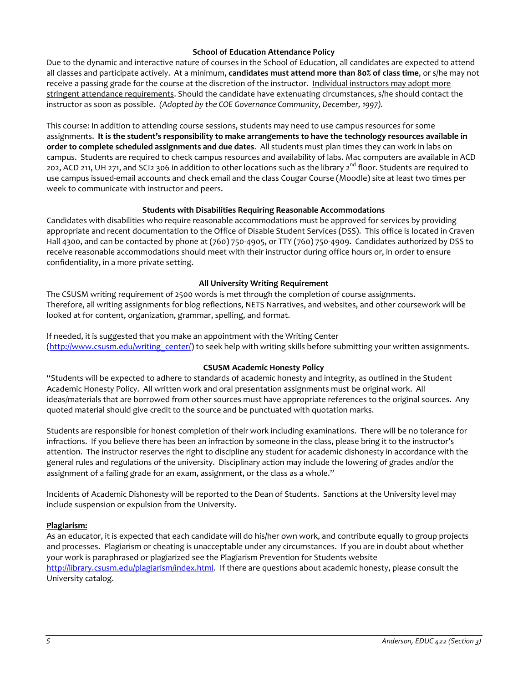### **School of Education Attendance Policy**

Due to the dynamic and interactive nature of courses in the School of Education, all candidates are expected to attend all classes and participate actively. At a minimum, **candidates must attend more than 80% of class time**, or s/he may not receive a passing grade for the course at the discretion of the instructor. Individual instructors may adopt more stringent attendance requirements. Should the candidate have extenuating circumstances, s/he should contact the instructor as soon as possible. *(Adopted by the COE Governance Community, December, 1997).*

This course: In addition to attending course sessions, students may need to use campus resources for some assignments. **It is the student's responsibility to make arrangements to have the technology resources available in order to complete scheduled assignments and due dates**. All students must plan times they can work in labs on campus. Students are required to check campus resources and availability of labs. Mac computers are available in ACD 202, ACD 211, UH 271, and SCI2 306 in addition to other locations such as the library  $2^{nd}$  floor. Students are required to use campus issued-email accounts and check email and the class Cougar Course (Moodle) site at least two times per week to communicate with instructor and peers.

### **Students with Disabilities Requiring Reasonable Accommodations**

Candidates with disabilities who require reasonable accommodations must be approved for services by providing appropriate and recent documentation to the Office of Disable Student Services (DSS). This office is located in Craven Hall 4300, and can be contacted by phone at (760) 750-4905, or TTY (760) 750-4909. Candidates authorized by DSS to receive reasonable accommodations should meet with their instructor during office hours or, in order to ensure confidentiality, in a more private setting.

### **All University Writing Requirement**

The CSUSM writing requirement of 2500 words is met through the completion of course assignments. Therefore, all writing assignments for blog reflections, NETS Narratives, and websites, and other coursework will be looked at for content, organization, grammar, spelling, and format.

If needed, it is suggested that you make an appointment with the Writing Center [\(http://www.csusm.edu/writing\\_center/\)](http://www.csusm.edu/writing_center/) to seek help with writing skills before submitting your written assignments.

### **CSUSM Academic Honesty Policy**

"Students will be expected to adhere to standards of academic honesty and integrity, as outlined in the Student Academic Honesty Policy. All written work and oral presentation assignments must be original work. All ideas/materials that are borrowed from other sources must have appropriate references to the original sources. Any quoted material should give credit to the source and be punctuated with quotation marks.

Students are responsible for honest completion of their work including examinations. There will be no tolerance for infractions. If you believe there has been an infraction by someone in the class, please bring it to the instructor's attention. The instructor reserves the right to discipline any student for academic dishonesty in accordance with the general rules and regulations of the university. Disciplinary action may include the lowering of grades and/or the assignment of a failing grade for an exam, assignment, or the class as a whole."

Incidents of Academic Dishonesty will be reported to the Dean of Students. Sanctions at the University level may include suspension or expulsion from the University.

### **Plagiarism:**

As an educator, it is expected that each candidate will do his/her own work, and contribute equally to group projects and processes. Plagiarism or cheating is unacceptable under any circumstances. If you are in doubt about whether your work is paraphrased or plagiarized see the Plagiarism Prevention for Students website [http://library.csusm.edu/plagiarism/index.html.](http://library.csusm.edu/plagiarism/index.html) If there are questions about academic honesty, please consult the University catalog.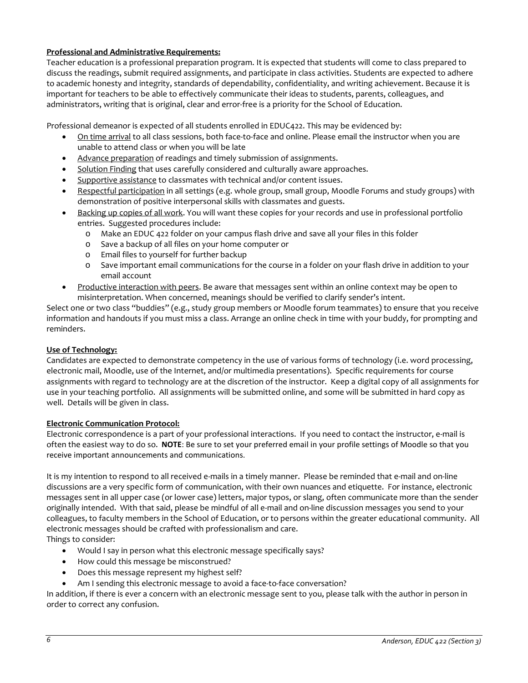## **Professional and Administrative Requirements:**

Teacher education is a professional preparation program. It is expected that students will come to class prepared to discuss the readings, submit required assignments, and participate in class activities. Students are expected to adhere to academic honesty and integrity, standards of dependability, confidentiality, and writing achievement. Because it is important for teachers to be able to effectively communicate their ideas to students, parents, colleagues, and administrators, writing that is original, clear and error-free is a priority for the School of Education.

Professional demeanor is expected of all students enrolled in EDUC422. This may be evidenced by:

- On time arrival to all class sessions, both face-to-face and online. Please email the instructor when you are unable to attend class or when you will be late
- Advance preparation of readings and timely submission of assignments.
- Solution Finding that uses carefully considered and culturally aware approaches.
- Supportive assistance to classmates with technical and/or content issues.
- Respectful participation in all settings (e.g. whole group, small group, Moodle Forums and study groups) with demonstration of positive interpersonal skills with classmates and guests.
- Backing up copies of all work. You will want these copies for your records and use in professional portfolio entries. Suggested procedures include:
	- o Make an EDUC 422 folder on your campus flash drive and save all your files in this folder
	- o Save a backup of all files on your home computer or
	- Email files to yourself for further backup
	- o Save important email communications for the course in a folder on your flash drive in addition to your email account
- Productive interaction with peers. Be aware that messages sent within an online context may be open to misinterpretation. When concerned, meanings should be verified to clarify sender's intent.

Select one or two class "buddies" (e.g., study group members or Moodle forum teammates) to ensure that you receive information and handouts if you must miss a class. Arrange an online check in time with your buddy, for prompting and reminders.

#### **Use of Technology:**

Candidates are expected to demonstrate competency in the use of various forms of technology (i.e. word processing, electronic mail, Moodle, use of the Internet, and/or multimedia presentations). Specific requirements for course assignments with regard to technology are at the discretion of the instructor. Keep a digital copy of all assignments for use in your teaching portfolio. All assignments will be submitted online, and some will be submitted in hard copy as well. Details will be given in class.

#### **Electronic Communication Protocol:**

Electronic correspondence is a part of your professional interactions. If you need to contact the instructor, e-mail is often the easiest way to do so. **NOTE**: Be sure to set your preferred email in your profile settings of Moodle so that you receive important announcements and communications.

It is my intention to respond to all received e-mails in a timely manner. Please be reminded that e-mail and on-line discussions are a very specific form of communication, with their own nuances and etiquette. For instance, electronic messages sent in all upper case (or lower case) letters, major typos, or slang, often communicate more than the sender originally intended. With that said, please be mindful of all e-mail and on-line discussion messages you send to your colleagues, to faculty members in the School of Education, or to persons within the greater educational community. All electronic messages should be crafted with professionalism and care. Things to consider:

- Would I say in person what this electronic message specifically says?
- How could this message be misconstrued?
- Does this message represent my highest self?
- Am I sending this electronic message to avoid a face-to-face conversation?

In addition, if there is ever a concern with an electronic message sent to you, please talk with the author in person in order to correct any confusion.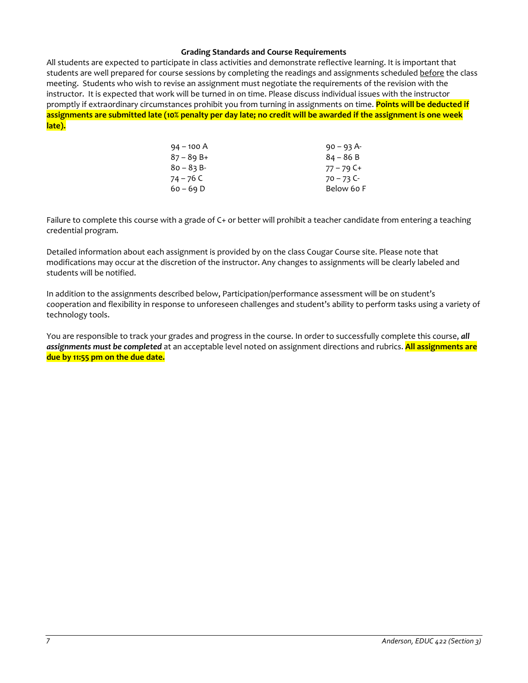#### **Grading Standards and Course Requirements**

All students are expected to participate in class activities and demonstrate reflective learning. It is important that students are well prepared for course sessions by completing the readings and assignments scheduled before the class meeting. Students who wish to revise an assignment must negotiate the requirements of the revision with the instructor. It is expected that work will be turned in on time. Please discuss individual issues with the instructor promptly if extraordinary circumstances prohibit you from turning in assignments on time. **Points will be deducted if assignments are submitted late (10% penalty per day late; no credit will be awarded if the assignment is one week late).**

| $94 - 100 A$ | $90 - 93$ A- |
|--------------|--------------|
| $87 - 89B +$ | $84 - 86B$   |
| $80 - 83 B$  | $77 - 79$ C+ |
| 74 – 76 C    | $70 - 73$ C- |
| $60 - 69 D$  | Below 60 F   |

Failure to complete this course with a grade of C+ or better will prohibit a teacher candidate from entering a teaching credential program.

Detailed information about each assignment is provided by on the class Cougar Course site. Please note that modifications may occur at the discretion of the instructor. Any changes to assignments will be clearly labeled and students will be notified.

In addition to the assignments described below, Participation/performance assessment will be on student's cooperation and flexibility in response to unforeseen challenges and student's ability to perform tasks using a variety of technology tools.

You are responsible to track your grades and progress in the course. In order to successfully complete this course, *all assignments must be completed* at an acceptable level noted on assignment directions and rubrics. **All assignments are due by 11:55 pm on the due date.**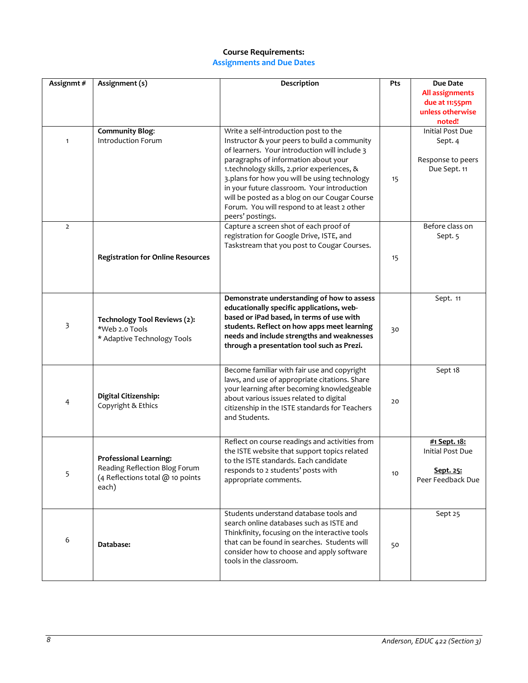### **Course Requirements: Assignments and Due Dates**

| Assignmt#      | Assignment (s)                                                                                              | Description                                                                                                                                                                                                                                                                                                                                                                                                                                      | Pts | <b>Due Date</b><br><b>All assignments</b><br>due at 11:55pm<br>unless otherwise<br>noted! |
|----------------|-------------------------------------------------------------------------------------------------------------|--------------------------------------------------------------------------------------------------------------------------------------------------------------------------------------------------------------------------------------------------------------------------------------------------------------------------------------------------------------------------------------------------------------------------------------------------|-----|-------------------------------------------------------------------------------------------|
| $\mathbf{1}$   | <b>Community Blog:</b><br><b>Introduction Forum</b>                                                         | Write a self-introduction post to the<br>Instructor & your peers to build a community<br>of learners. Your introduction will include 3<br>paragraphs of information about your<br>1.technology skills, 2.prior experiences, &<br>3.plans for how you will be using technology<br>in your future classroom. Your introduction<br>will be posted as a blog on our Cougar Course<br>Forum. You will respond to at least 2 other<br>peers' postings. | 15  | Initial Post Due<br>Sept. 4<br>Response to peers<br>Due Sept. 11                          |
| $\overline{2}$ | <b>Registration for Online Resources</b>                                                                    | Capture a screen shot of each proof of<br>registration for Google Drive, ISTE, and<br>Taskstream that you post to Cougar Courses.                                                                                                                                                                                                                                                                                                                | 15  | Before class on<br>Sept. 5                                                                |
| 3              | Technology Tool Reviews (2):<br>*Web 2.0 Tools<br>* Adaptive Technology Tools                               | Demonstrate understanding of how to assess<br>educationally specific applications, web-<br>based or iPad based, in terms of use with<br>students. Reflect on how apps meet learning<br>needs and include strengths and weaknesses<br>through a presentation tool such as Prezi.                                                                                                                                                                  | 30  | Sept. 11                                                                                  |
| 4              | Digital Citizenship:<br>Copyright & Ethics                                                                  | Become familiar with fair use and copyright<br>laws, and use of appropriate citations. Share<br>your learning after becoming knowledgeable<br>about various issues related to digital<br>citizenship in the ISTE standards for Teachers<br>and Students.                                                                                                                                                                                         | 20  | Sept 18                                                                                   |
| 5              | <b>Professional Learning:</b><br>Reading Reflection Blog Forum<br>(4 Reflections total @ 10 points<br>each) | Reflect on course readings and activities from<br>the ISTE website that support topics related<br>to the ISTE standards. Each candidate<br>responds to 2 students' posts with<br>appropriate comments.                                                                                                                                                                                                                                           | 10  | #1 Sept. 18:<br>Initial Post Due<br>Sept. 25:<br>Peer Feedback Due                        |
| 6              | Database:                                                                                                   | Students understand database tools and<br>search online databases such as ISTE and<br>Thinkfinity, focusing on the interactive tools<br>that can be found in searches. Students will<br>consider how to choose and apply software<br>tools in the classroom.                                                                                                                                                                                     | 50  | Sept 25                                                                                   |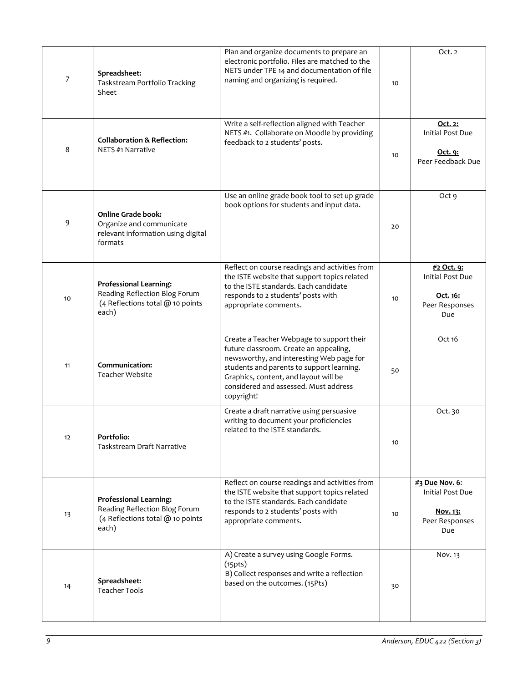| 7  | Spreadsheet:<br>Taskstream Portfolio Tracking<br>Sheet                                                      | Plan and organize documents to prepare an<br>electronic portfolio. Files are matched to the<br>NETS under TPE 14 and documentation of file<br>naming and organizing is required.                                                                                             | 10 | Oct. 2                                                                     |
|----|-------------------------------------------------------------------------------------------------------------|------------------------------------------------------------------------------------------------------------------------------------------------------------------------------------------------------------------------------------------------------------------------------|----|----------------------------------------------------------------------------|
| 8  | <b>Collaboration &amp; Reflection:</b><br>NETS #1 Narrative                                                 | Write a self-reflection aligned with Teacher<br>NETS #1. Collaborate on Moodle by providing<br>feedback to 2 students' posts.                                                                                                                                                | 10 | Oct. 2:<br>Initial Post Due<br><u>Oct. 9:</u><br>Peer Feedback Due         |
| 9  | <b>Online Grade book:</b><br>Organize and communicate<br>relevant information using digital<br>formats      | Use an online grade book tool to set up grade<br>book options for students and input data.                                                                                                                                                                                   | 20 | Oct 9                                                                      |
| 10 | <b>Professional Learning:</b><br>Reading Reflection Blog Forum<br>(4 Reflections total @ 10 points<br>each) | Reflect on course readings and activities from<br>the ISTE website that support topics related<br>to the ISTE standards. Each candidate<br>responds to 2 students' posts with<br>appropriate comments.                                                                       | 10 | #2 Oct. 9:<br><b>Initial Post Due</b><br>Oct. 16:<br>Peer Responses<br>Due |
| 11 | Communication:<br><b>Teacher Website</b>                                                                    | Create a Teacher Webpage to support their<br>future classroom. Create an appealing,<br>newsworthy, and interesting Web page for<br>students and parents to support learning.<br>Graphics, content, and layout will be<br>considered and assessed. Must address<br>copyright! | 50 | Oct 16                                                                     |
| 12 | Portfolio:<br>Taskstream Draft Narrative                                                                    | Create a draft narrative using persuasive<br>writing to document your proficiencies<br>related to the ISTE standards.                                                                                                                                                        | 10 | Oct. 30                                                                    |
| 13 | <b>Professional Learning:</b><br>Reading Reflection Blog Forum<br>(4 Reflections total @ 10 points<br>each) | Reflect on course readings and activities from<br>the ISTE website that support topics related<br>to the ISTE standards. Each candidate<br>responds to 2 students' posts with<br>appropriate comments.                                                                       | 10 | #3 Due Nov. 6:<br>Initial Post Due<br>Nov. 13:<br>Peer Responses<br>Due    |
| 14 | Spreadsheet:<br><b>Teacher Tools</b>                                                                        | A) Create a survey using Google Forms.<br>(15pts)<br>B) Collect responses and write a reflection<br>based on the outcomes. (15Pts)                                                                                                                                           | 30 | Nov. 13                                                                    |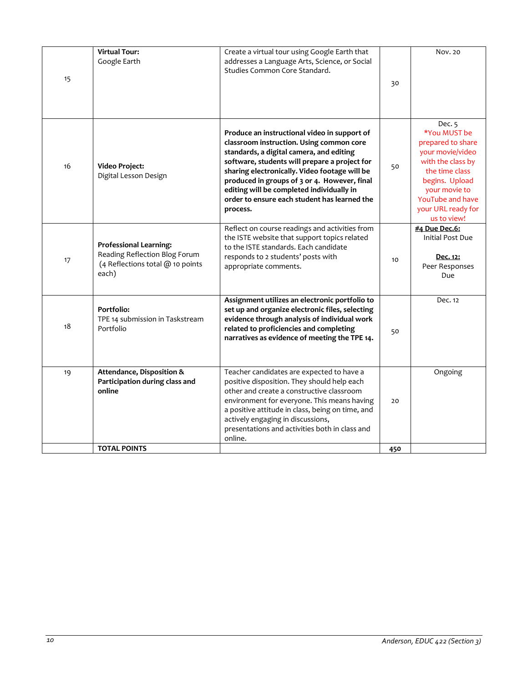| 15 | <b>Virtual Tour:</b><br>Google Earth                                                                        | Create a virtual tour using Google Earth that<br>addresses a Language Arts, Science, or Social<br>Studies Common Core Standard.                                                                                                                                                                                                                                                                 | 30  | Nov. 20                                                                                                                                                                                            |
|----|-------------------------------------------------------------------------------------------------------------|-------------------------------------------------------------------------------------------------------------------------------------------------------------------------------------------------------------------------------------------------------------------------------------------------------------------------------------------------------------------------------------------------|-----|----------------------------------------------------------------------------------------------------------------------------------------------------------------------------------------------------|
| 16 | Video Project:<br>Digital Lesson Design                                                                     | Produce an instructional video in support of<br>classroom instruction. Using common core<br>standards, a digital camera, and editing<br>software, students will prepare a project for<br>sharing electronically. Video footage will be<br>produced in groups of 3 or 4. However, final<br>editing will be completed individually in<br>order to ensure each student has learned the<br>process. | 50  | Dec. 5<br>*You MUST be<br>prepared to share<br>your movie/video<br>with the class by<br>the time class<br>begins. Upload<br>your movie to<br>YouTube and have<br>your URL ready for<br>us to view! |
| 17 | <b>Professional Learning:</b><br>Reading Reflection Blog Forum<br>(4 Reflections total @ 10 points<br>each) | Reflect on course readings and activities from<br>the ISTE website that support topics related<br>to the ISTE standards. Each candidate<br>responds to 2 students' posts with<br>appropriate comments.                                                                                                                                                                                          | 10  | #4 Due Dec.6:<br>Initial Post Due<br>Dec. 12:<br>Peer Responses<br>Due                                                                                                                             |
| 18 | Portfolio:<br>TPE 14 submission in Taskstream<br>Portfolio                                                  | Assignment utilizes an electronic portfolio to<br>set up and organize electronic files, selecting<br>evidence through analysis of individual work<br>related to proficiencies and completing<br>narratives as evidence of meeting the TPE 14.                                                                                                                                                   | 50  | Dec. 12                                                                                                                                                                                            |
| 19 | Attendance, Disposition &<br>Participation during class and<br>online                                       | Teacher candidates are expected to have a<br>positive disposition. They should help each<br>other and create a constructive classroom<br>environment for everyone. This means having<br>a positive attitude in class, being on time, and<br>actively engaging in discussions,<br>presentations and activities both in class and<br>online.                                                      | 20  | Ongoing                                                                                                                                                                                            |
|    | <b>TOTAL POINTS</b>                                                                                         |                                                                                                                                                                                                                                                                                                                                                                                                 | 450 |                                                                                                                                                                                                    |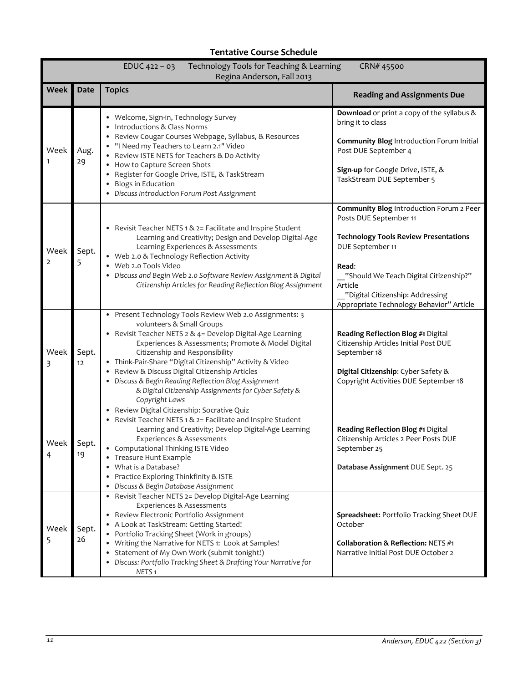| EDUC $422 - 03$<br>Technology Tools for Teaching & Learning<br>CRN# 45500<br>Regina Anderson, Fall 2013 |             |                                                                                                                                                                                                                                                                                                                                                                                                                                                                                               |                                                                                                                                                                                                                                                                                      |  |
|---------------------------------------------------------------------------------------------------------|-------------|-----------------------------------------------------------------------------------------------------------------------------------------------------------------------------------------------------------------------------------------------------------------------------------------------------------------------------------------------------------------------------------------------------------------------------------------------------------------------------------------------|--------------------------------------------------------------------------------------------------------------------------------------------------------------------------------------------------------------------------------------------------------------------------------------|--|
| <b>Week</b>                                                                                             | <b>Date</b> | <b>Topics</b>                                                                                                                                                                                                                                                                                                                                                                                                                                                                                 | <b>Reading and Assignments Due</b>                                                                                                                                                                                                                                                   |  |
| Week                                                                                                    | Aug.<br>29  | • Welcome, Sign-in, Technology Survey<br>Introductions & Class Norms<br>$\bullet$<br>• Review Cougar Courses Webpage, Syllabus, & Resources<br>• "I Need my Teachers to Learn 2.1" Video<br>• Review ISTE NETS for Teachers & Do Activity<br>• How to Capture Screen Shots<br>• Register for Google Drive, ISTE, & TaskStream<br><b>Blogs in Education</b><br>$\bullet$<br>• Discuss Introduction Forum Post Assignment                                                                       | Download or print a copy of the syllabus &<br>bring it to class<br>Community Blog Introduction Forum Initial<br>Post DUE September 4<br>Sign-up for Google Drive, ISTE, &<br>TaskStream DUE September 5                                                                              |  |
| Week<br>$\overline{2}$                                                                                  | Sept.<br>5  | • Revisit Teacher NETS 1 & 2= Facilitate and Inspire Student<br>Learning and Creativity; Design and Develop Digital-Age<br>Learning Experiences & Assessments<br>• Web 2.0 & Technology Reflection Activity<br>• Web 2.0 Tools Video<br>• Discuss and Begin Web 2.0 Software Review Assignment & Digital<br>Citizenship Articles for Reading Reflection Blog Assignment                                                                                                                       | Community Blog Introduction Forum 2 Peer<br>Posts DUE September 11<br><b>Technology Tools Review Presentations</b><br>DUE September 11<br>Read:<br>"Should We Teach Digital Citizenship?"<br>Article<br>"Digital Citizenship: Addressing<br>Appropriate Technology Behavior" Article |  |
| Week<br>3                                                                                               | Sept.<br>12 | · Present Technology Tools Review Web 2.0 Assignments: 3<br>volunteers & Small Groups<br>• Revisit Teacher NETS 2 & 4= Develop Digital-Age Learning<br>Experiences & Assessments; Promote & Model Digital<br>Citizenship and Responsibility<br>· Think-Pair-Share "Digital Citizenship" Activity & Video<br>• Review & Discuss Digital Citizenship Articles<br>• Discuss & Begin Reading Reflection Blog Assignment<br>& Digital Citizenship Assignments for Cyber Safety &<br>Copyright Laws | Reading Reflection Blog #1 Digital<br>Citizenship Articles Initial Post DUE<br>September 18<br>Digital Citizenship: Cyber Safety &<br>Copyright Activities DUE September 18                                                                                                          |  |
| Week<br>4                                                                                               | Sept.<br>19 | • Review Digital Citizenship: Socrative Quiz<br>• Revisit Teacher NETS 1 & 2= Facilitate and Inspire Student<br>Learning and Creativity; Develop Digital-Age Learning<br>Experiences & Assessments<br>• Computational Thinking ISTE Video<br>Treasure Hunt Example<br>• What is a Database?<br>Practice Exploring Thinkfinity & ISTE<br>$\bullet$<br>Discuss & Begin Database Assignment                                                                                                      | Reading Reflection Blog #1 Digital<br>Citizenship Articles 2 Peer Posts DUE<br>September 25<br>Database Assignment DUE Sept. 25                                                                                                                                                      |  |
| Week<br>5                                                                                               | Sept.<br>26 | • Revisit Teacher NETS 2= Develop Digital-Age Learning<br>Experiences & Assessments<br>• Review Electronic Portfolio Assignment<br>• A Look at TaskStream: Getting Started!<br>• Portfolio Tracking Sheet (Work in groups)<br>• Writing the Narrative for NETS 1: Look at Samples!<br>Statement of My Own Work (submit tonight!)<br>• Discuss: Portfolio Tracking Sheet & Drafting Your Narrative for<br>NETS <sub>1</sub>                                                                    | Spreadsheet: Portfolio Tracking Sheet DUE<br>October<br><b>Collaboration &amp; Reflection: NETS #1</b><br>Narrative Initial Post DUE October 2                                                                                                                                       |  |

# **Tentative Course Schedule**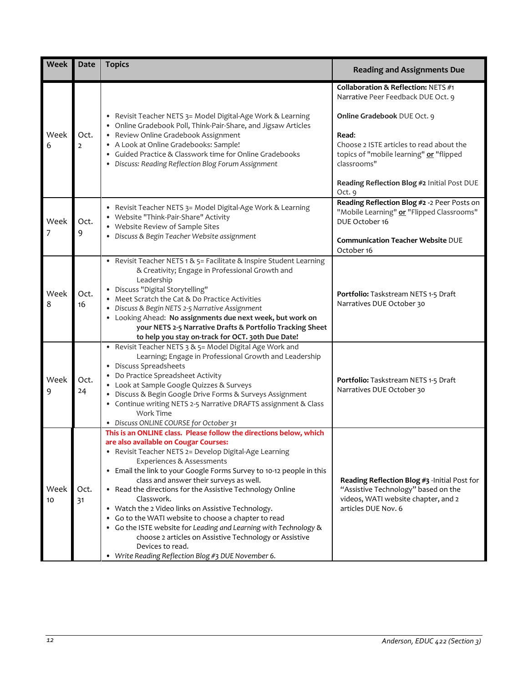| <b>Week</b> | <b>Date</b>            | <b>Topics</b>                                                                                                                                                                                                                                                                                                                                                                                                                                                                                                                                                                                                                                                                                                          | <b>Reading and Assignments Due</b>                                                                                                                                                                                                                                               |
|-------------|------------------------|------------------------------------------------------------------------------------------------------------------------------------------------------------------------------------------------------------------------------------------------------------------------------------------------------------------------------------------------------------------------------------------------------------------------------------------------------------------------------------------------------------------------------------------------------------------------------------------------------------------------------------------------------------------------------------------------------------------------|----------------------------------------------------------------------------------------------------------------------------------------------------------------------------------------------------------------------------------------------------------------------------------|
| Week<br>6   | Oct.<br>$\overline{2}$ | • Revisit Teacher NETS 3= Model Digital-Age Work & Learning<br>• Online Gradebook Poll, Think-Pair-Share, and Jigsaw Articles<br>• Review Online Gradebook Assignment<br>• A Look at Online Gradebooks: Sample!<br>• Guided Practice & Classwork time for Online Gradebooks<br>• Discuss: Reading Reflection Blog Forum Assignment                                                                                                                                                                                                                                                                                                                                                                                     | Collaboration & Reflection: NETS #1<br>Narrative Peer Feedback DUE Oct. 9<br>Online Gradebook DUE Oct. 9<br>Read:<br>Choose 2 ISTE articles to read about the<br>topics of "mobile learning" or "flipped<br>classrooms"<br>Reading Reflection Blog #2 Initial Post DUE<br>Oct. 9 |
| Week<br>7   | Oct.<br>9              | • Revisit Teacher NETS 3= Model Digital-Age Work & Learning<br>• Website "Think-Pair-Share" Activity<br>• Website Review of Sample Sites<br>· Discuss & Begin Teacher Website assignment                                                                                                                                                                                                                                                                                                                                                                                                                                                                                                                               | Reading Reflection Blog #2 -2 Peer Posts on<br>"Mobile Learning" or "Flipped Classrooms"<br>DUE October 16<br><b>Communication Teacher Website DUE</b><br>October 16                                                                                                             |
| Week<br>8   | Oct.<br>16             | • Revisit Teacher NETS 1 & 5= Facilitate & Inspire Student Learning<br>& Creativity; Engage in Professional Growth and<br>Leadership<br>· Discuss "Digital Storytelling"<br>• Meet Scratch the Cat & Do Practice Activities<br>· Discuss & Begin NETS 2-5 Narrative Assignment<br>• Looking Ahead: No assignments due next week, but work on<br>your NETS 2-5 Narrative Drafts & Portfolio Tracking Sheet<br>to help you stay on-track for OCT. 30th Due Date!                                                                                                                                                                                                                                                         | Portfolio: Taskstream NETS 1-5 Draft<br>Narratives DUE October 30                                                                                                                                                                                                                |
| Week<br>9   | Oct.<br>24             | • Revisit Teacher NETS 3 & 5= Model Digital Age Work and<br>Learning; Engage in Professional Growth and Leadership<br>• Discuss Spreadsheets<br>• Do Practice Spreadsheet Activity<br>• Look at Sample Google Quizzes & Surveys<br>· Discuss & Begin Google Drive Forms & Surveys Assignment<br>• Continue writing NETS 2-5 Narrative DRAFTS assignment & Class<br>Work Time<br>• Discuss ONLINE COURSE for October 31                                                                                                                                                                                                                                                                                                 | Portfolio: Taskstream NETS 1-5 Draft<br>Narratives DUE October 30                                                                                                                                                                                                                |
| Week<br>10  | Oct.<br>31             | This is an ONLINE class. Please follow the directions below, which<br>are also available on Cougar Courses:<br>• Revisit Teacher NETS 2= Develop Digital-Age Learning<br>Experiences & Assessments<br>• Email the link to your Google Forms Survey to 10-12 people in this<br>class and answer their surveys as well.<br>• Read the directions for the Assistive Technology Online<br>Classwork.<br>• Watch the 2 Video links on Assistive Technology.<br>• Go to the WATI website to choose a chapter to read<br>• Go the ISTE website for Leading and Learning with Technology &<br>choose 2 articles on Assistive Technology or Assistive<br>Devices to read.<br>• Write Reading Reflection Blog #3 DUE November 6. | Reading Reflection Blog #3 -Initial Post for<br>"Assistive Technology" based on the<br>videos, WATI website chapter, and 2<br>articles DUE Nov. 6                                                                                                                                |